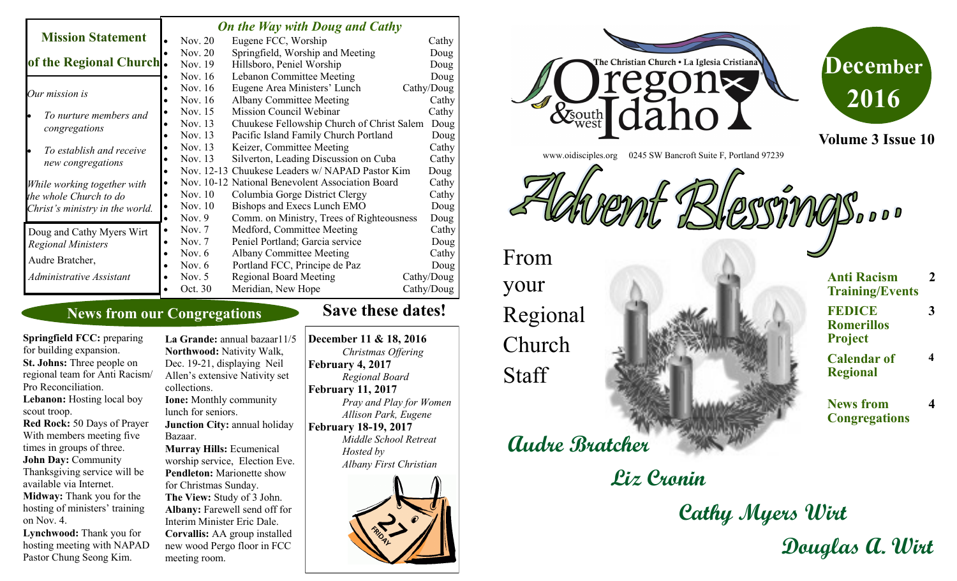|                                                                                          |           | <b>On the Way with Doug and Cathy</b> |                                                  |  |            |  |
|------------------------------------------------------------------------------------------|-----------|---------------------------------------|--------------------------------------------------|--|------------|--|
| <b>Mission Statement</b>                                                                 |           | Nov. 20                               | Eugene FCC, Worship                              |  | Cathy      |  |
|                                                                                          |           | Nov. 20                               | Springfield, Worship and Meeting                 |  | Doug       |  |
| of the Regional Church.                                                                  |           | Nov. 19                               | Hillsboro, Peniel Worship                        |  | Doug       |  |
|                                                                                          |           | Nov. 16                               | Lebanon Committee Meeting                        |  | Doug       |  |
| Our mission is                                                                           |           | Nov. 16                               | Eugene Area Ministers' Lunch                     |  | Cathy/Doug |  |
|                                                                                          |           | Nov. 16                               | <b>Albany Committee Meeting</b>                  |  | Cathy      |  |
| To nurture members and<br>congregations                                                  |           | Nov. 15                               | Mission Council Webinar                          |  | Cathy      |  |
|                                                                                          |           | Nov. 13                               | Chuukese Fellowship Church of Christ Salem       |  | Doug       |  |
|                                                                                          |           | Nov. 13                               | Pacific Island Family Church Portland            |  | Doug       |  |
| To establish and receive<br>new congregations                                            |           | Nov. 13                               | Keizer, Committee Meeting                        |  | Cathy      |  |
|                                                                                          |           | Nov. 13                               | Silverton, Leading Discussion on Cuba            |  | Cathy      |  |
|                                                                                          |           |                                       | Nov. 12-13 Chuukese Leaders w/ NAPAD Pastor Kim  |  | Doug       |  |
| While working together with<br>the whole Church to do<br>Christ's ministry in the world. |           |                                       | Nov. 10-12 National Benevolent Association Board |  | Cathy      |  |
|                                                                                          |           | Nov. 10                               | Columbia Gorge District Clergy                   |  | Cathy      |  |
|                                                                                          |           | Nov. 10                               | Bishops and Execs Lunch EMO                      |  | Doug       |  |
|                                                                                          | $\bullet$ | Nov. $9$                              | Comm. on Ministry, Trees of Righteousness        |  | Doug       |  |
| Doug and Cathy Myers Wirt                                                                | $\bullet$ | Nov. $7$                              | Medford, Committee Meeting                       |  | Cathy      |  |
| <b>Regional Ministers</b>                                                                |           | Nov. $7$                              | Peniel Portland; Garcia service                  |  | Doug       |  |
| Audre Bratcher,                                                                          |           | Nov. $6$                              | <b>Albany Committee Meeting</b>                  |  | Cathy      |  |
|                                                                                          |           | Nov. $6$                              | Portland FCC, Principe de Paz                    |  | Doug       |  |
| Administrative Assistant                                                                 |           | Nov. $5$                              | <b>Regional Board Meeting</b>                    |  | Cathy/Doug |  |
|                                                                                          |           | Oct. 30                               | Meridian, New Hope                               |  | Cathy/Doug |  |

# **News from our Congregations**

**Save these dates!** 

**Springfield FCC:** preparing for building expansion. **St. Johns:** Three people on regional team for Anti Racism/ Pro Reconciliation. Lebanon: Hosting local boy scout troop. **Red Rock:** 50 Days of Prayer With members meeting five times in groups of three. **John Day:** Community Thanksgiving service will be available via Internet. **Midway:** Thank you for the hosting of ministers' training on Nov. 4. **Lynchwood:** Thank you for hosting meeting with NAPAD

Pastor Chung Seong Kim.

La Grande: annual bazaar11/5 **Northwood:** Nativity Walk, Dec. 19-21, displaying Neil Allen's extensive Nativity set collections. **Ione:** Monthly community lunch for seniors. **Junction City: annual holiday** Bazaar. **Murray Hills:** Ecumenical worship service, Election Eve. **Pendleton:** Marionette show for Christmas Sunday. **The View:** Study of 3 John. **Albany:** Farewell send off for Interim Minister Eric Dale. **Corvallis:** AA group installed new wood Pergo floor in FCC meeting room.

**December 11 & 18, 2016** *Christmas Offering* **February 4, 2017** *Regional Board* **February 11, 2017** *Pray and Play for Women Allison Park, Eugene* **February 18-19, 2017** *Middle School Retreat Hosted by Albany First Christian*





**Cathy Myers Wirt Douglas A. Wirt**